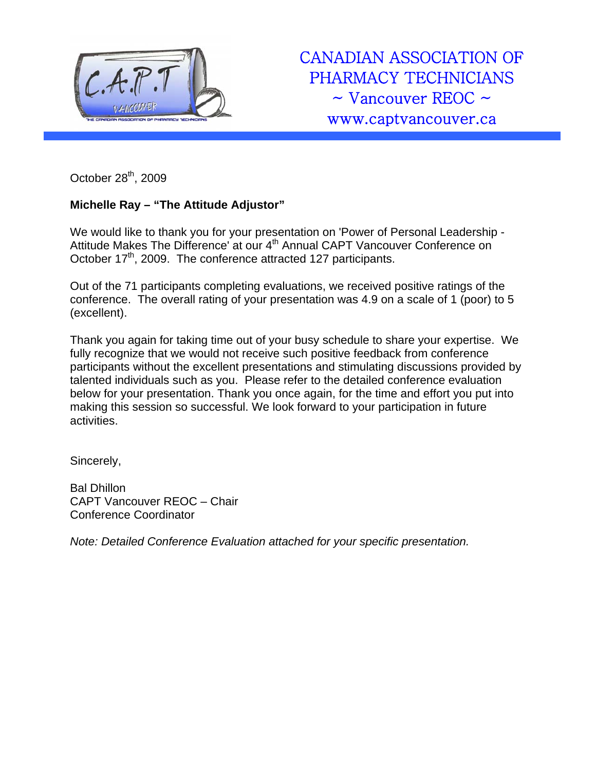

CANADIAN ASSOCIATION OF PHARMACY TECHNICIANS  $\sim$  Vancouver REOC  $\sim$ www.captvancouver.ca

October 28<sup>th</sup>, 2009

## **Michelle Ray – "The Attitude Adjustor"**

We would like to thank you for your presentation on 'Power of Personal Leadership - Attitude Makes The Difference' at our 4<sup>th</sup> Annual CAPT Vancouver Conference on October 17<sup>th</sup>, 2009. The conference attracted 127 participants.

Out of the 71 participants completing evaluations, we received positive ratings of the conference. The overall rating of your presentation was 4.9 on a scale of 1 (poor) to 5 (excellent).

Thank you again for taking time out of your busy schedule to share your expertise. We fully recognize that we would not receive such positive feedback from conference participants without the excellent presentations and stimulating discussions provided by talented individuals such as you. Please refer to the detailed conference evaluation below for your presentation. Thank you once again, for the time and effort you put into making this session so successful. We look forward to your participation in future activities.

Sincerely,

Bal Dhillon CAPT Vancouver REOC – Chair Conference Coordinator

*Note: Detailed Conference Evaluation attached for your specific presentation.*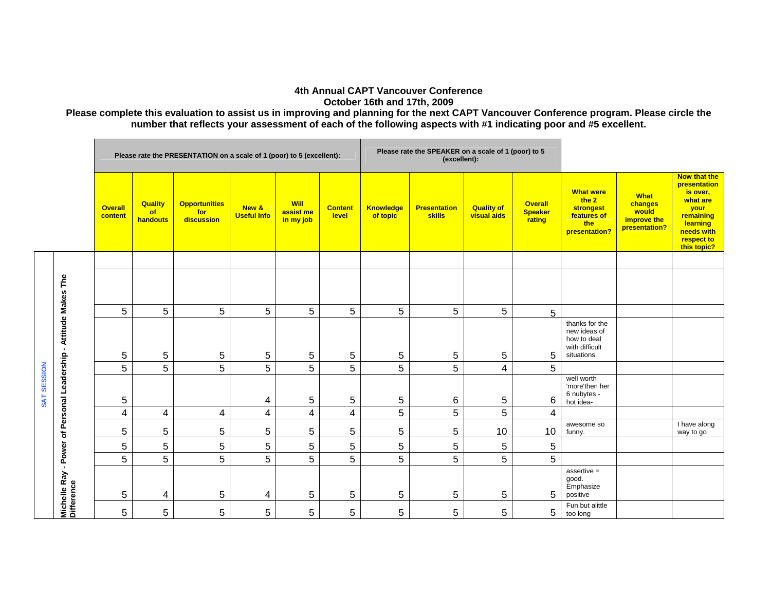## **4th Annual CAPT Vancouver Conference October 16th and 17th, 2009**

**Please complete this evaluation to assist us in improving and planning for the next CAPT Vancouver Conference program. Please circle the number that reflects your assessment of each of the following aspects with #1 indicating poor and #5 excellent.** 

|             |                                            | Please rate the PRESENTATION on a scale of 1 (poor) to 5 (excellent): |                                         |                                           |                             |                                       |                         |                              | Please rate the SPEAKER on a scale of 1 (poor) to 5<br>(excellent): |                                         |                                            |                                                                                      |                                                                 |                                                                                                                                         |
|-------------|--------------------------------------------|-----------------------------------------------------------------------|-----------------------------------------|-------------------------------------------|-----------------------------|---------------------------------------|-------------------------|------------------------------|---------------------------------------------------------------------|-----------------------------------------|--------------------------------------------|--------------------------------------------------------------------------------------|-----------------------------------------------------------------|-----------------------------------------------------------------------------------------------------------------------------------------|
|             |                                            | <b>Overall</b><br>content                                             | <b>Quality</b><br><b>of</b><br>handouts | <b>Opportunities</b><br>for<br>discussion | New &<br><b>Useful Info</b> | <b>Will</b><br>assist me<br>in my job | <b>Content</b><br>level | <b>Knowledge</b><br>of topic | <b>Presentation</b><br>skills                                       | <b>Quality of</b><br><b>visual aids</b> | <b>Overall</b><br><b>Speaker</b><br>rating | <b>What were</b><br>the 2<br><b>strongest</b><br>features of<br>the<br>presentation? | <b>What</b><br>changes<br>would<br>improve the<br>presentation? | <b>Now that the</b><br>presentation<br>is over,<br>what are<br>your<br>remaining<br>learning<br>needs with<br>respect to<br>this topic? |
|             |                                            |                                                                       |                                         |                                           |                             |                                       |                         |                              |                                                                     |                                         |                                            |                                                                                      |                                                                 |                                                                                                                                         |
|             | The<br>Makes                               |                                                                       |                                         |                                           |                             |                                       |                         |                              |                                                                     |                                         |                                            |                                                                                      |                                                                 |                                                                                                                                         |
|             |                                            | 5                                                                     | 5                                       | 5                                         | 5                           | 5                                     | 5                       | 5                            | 5                                                                   | 5                                       | 5                                          |                                                                                      |                                                                 |                                                                                                                                         |
|             | Attitude<br>$\mathbf{r}$                   | 5                                                                     | 5                                       | 5                                         | 5                           | 5                                     | 5                       | $\,$ 5 $\,$                  | 5                                                                   | 5                                       | 5                                          | thanks for the<br>new ideas of<br>how to deal<br>with difficult<br>situations.       |                                                                 |                                                                                                                                         |
|             |                                            | 5                                                                     | 5                                       | 5                                         | 5                           | 5                                     | 5                       | 5                            | 5                                                                   | $\overline{4}$                          | $5\phantom{.0}$                            |                                                                                      |                                                                 |                                                                                                                                         |
| SAT SESSION | Leadership                                 | 5                                                                     |                                         |                                           | 4                           | 5                                     | 5                       | 5                            | 6                                                                   | 5                                       | 6                                          | well worth<br>'more'then her<br>6 nubytes -<br>hot idea-                             |                                                                 |                                                                                                                                         |
|             | Personal                                   | 4                                                                     | 4                                       | 4                                         | 4                           | 4                                     | $\overline{4}$          | 5                            | 5                                                                   | 5                                       | 4                                          |                                                                                      |                                                                 |                                                                                                                                         |
|             | ৳                                          | 5                                                                     | 5                                       | 5                                         | 5                           | 5                                     | 5                       | 5                            | $\sqrt{5}$                                                          | 10                                      | 10                                         | awesome so<br>funny.                                                                 |                                                                 | I have along<br>way to go                                                                                                               |
|             | Power                                      | 5                                                                     | 5                                       | 5                                         | 5                           | 5                                     | 5                       | 5                            | 5                                                                   | 5                                       | 5                                          |                                                                                      |                                                                 |                                                                                                                                         |
|             |                                            | 5                                                                     | 5                                       | 5                                         | 5                           | 5                                     | 5                       | 5                            | 5                                                                   | 5                                       | 5                                          |                                                                                      |                                                                 |                                                                                                                                         |
|             | $\mathbf{r}$<br>Michelle Ray<br>Difference | 5                                                                     | 4                                       | 5                                         | 4                           | 5                                     | 5                       | 5                            | 5                                                                   | 5                                       | 5                                          | $assertive =$<br>good.<br>Emphasize<br>positive                                      |                                                                 |                                                                                                                                         |
|             |                                            | 5                                                                     | 5                                       | 5                                         | 5                           | 5                                     | 5                       | 5                            | 5                                                                   | 5                                       | 5                                          | Fun but alittle<br>too long                                                          |                                                                 |                                                                                                                                         |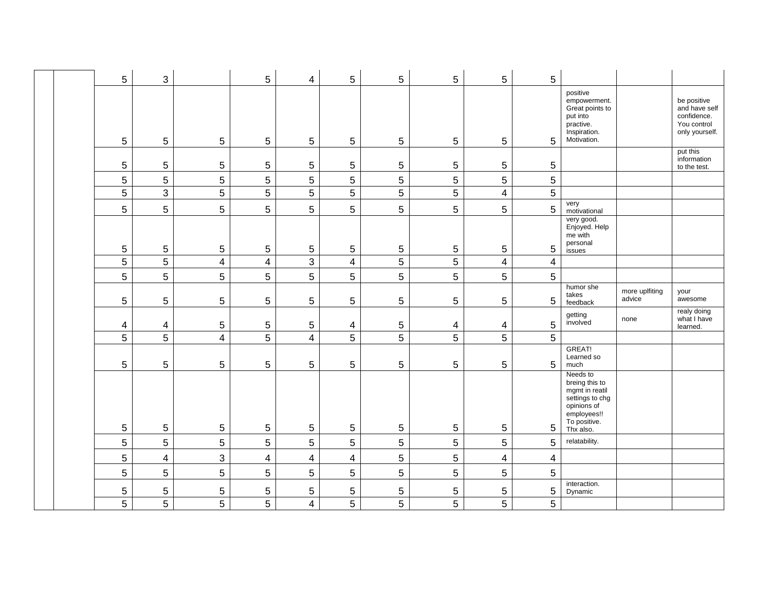|  | 5           | 3                       |                         | $\mathbf 5$              | 4                       | 5              | 5              | $\sqrt{5}$     | 5                       | 5                       |                                                                                                                            |                          |                                                                              |
|--|-------------|-------------------------|-------------------------|--------------------------|-------------------------|----------------|----------------|----------------|-------------------------|-------------------------|----------------------------------------------------------------------------------------------------------------------------|--------------------------|------------------------------------------------------------------------------|
|  | 5           | 5                       | $\sqrt{5}$              | 5                        | 5                       | 5              | 5              | 5              | $\overline{5}$          | 5                       | positive<br>empowerment.<br>Great points to<br>put into<br>practive.<br>Inspiration.<br>Motivation.                        |                          | be positive<br>and have self<br>confidence.<br>You control<br>only yourself. |
|  | 5           | 5                       | $\sqrt{5}$              | 5                        | 5                       | $\sqrt{5}$     | $\sqrt{5}$     | $\sqrt{5}$     | $\sqrt{5}$              | $\,$ 5 $\,$             |                                                                                                                            |                          | put this<br>information<br>to the test.                                      |
|  | 5           | 5                       | 5                       | 5                        | 5                       | 5              | 5              | 5              | 5                       | 5                       |                                                                                                                            |                          |                                                                              |
|  | 5           | $\mathfrak{S}$          | $\sqrt{5}$              | $\overline{5}$           | 5                       | $\overline{5}$ | $\overline{5}$ | $\overline{5}$ | $\overline{\mathbf{4}}$ | 5                       |                                                                                                                            |                          |                                                                              |
|  | 5           | 5                       | 5                       | 5                        | 5                       | 5              | 5              | 5              | 5                       | 5                       | very<br>motivational                                                                                                       |                          |                                                                              |
|  | $\,$ 5 $\,$ | 5                       | $\mathbf 5$             | $\mathbf 5$              | 5                       | $\,$ 5 $\,$    | 5              | $\,$ 5 $\,$    | $\,$ 5 $\,$             | $\,$ 5 $\,$             | very good.<br>Enjoyed. Help<br>me with<br>personal<br>issues                                                               |                          |                                                                              |
|  | 5           | 5                       | $\overline{\mathbf{4}}$ | $\overline{\mathcal{A}}$ | 3                       | $\overline{4}$ | 5              | 5              | $\overline{\mathbf{4}}$ | $\overline{4}$          |                                                                                                                            |                          |                                                                              |
|  | 5           | 5                       | $\overline{5}$          | $\sqrt{5}$               | 5                       | $\sqrt{5}$     | $\sqrt{5}$     | 5              | 5                       | 5                       |                                                                                                                            |                          |                                                                              |
|  | 5           | 5                       | 5                       | 5                        | 5                       | 5              | 5              | 5              | $\overline{5}$          | 5                       | humor she<br>takes<br>feedback                                                                                             | more uplfiting<br>advice | your<br>awesome                                                              |
|  | 4           | 4                       | $\,$ 5 $\,$             | 5                        | 5                       | 4              | $\sqrt{5}$     | 4              | 4                       | 5                       | getting<br>involved                                                                                                        | none                     | realy doing<br>what I have<br>learned.                                       |
|  | 5           | 5                       | $\overline{\mathbf{4}}$ | 5                        | $\overline{4}$          | 5              | 5              | 5              | 5                       | 5                       |                                                                                                                            |                          |                                                                              |
|  | 5           | 5                       | $\sqrt{5}$              | $\mathbf 5$              | 5                       | 5              | 5              | $\overline{5}$ | $\sqrt{5}$              | 5                       | GREAT!<br>Learned so<br>much                                                                                               |                          |                                                                              |
|  | $\sqrt{5}$  | 5                       | $\sqrt{5}$              | $\mathbf 5$              | 5                       | $\mathbf 5$    | 5              | $\sqrt{5}$     | $\overline{5}$          | 5                       | Needs to<br>breing this to<br>mgmt in reatil<br>settings to chg<br>opinions of<br>employees!!<br>To positive.<br>Thx also. |                          |                                                                              |
|  | 5           | 5                       | $\mathbf 5$             | $\sqrt{5}$               | 5                       | $\mathbf 5$    | $\sqrt{5}$     | 5              | $\sqrt{5}$              | 5                       | relatability.                                                                                                              |                          |                                                                              |
|  | 5           | $\overline{\mathbf{4}}$ | $\sqrt{3}$              | $\overline{\mathcal{A}}$ | $\overline{\mathbf{4}}$ | $\overline{4}$ | $\sqrt{5}$     | $5\,$          | $\overline{4}$          | $\overline{\mathbf{4}}$ |                                                                                                                            |                          |                                                                              |
|  | 5           | 5                       | $\sqrt{5}$              | $\sqrt{5}$               | 5                       | $\sqrt{5}$     | $\sqrt{5}$     | 5              | $\sqrt{5}$              | 5                       |                                                                                                                            |                          |                                                                              |
|  | 5           | 5                       | $\sqrt{5}$              | $\mathbf 5$              | 5                       | 5              | $\,$ 5 $\,$    | $\sqrt{5}$     | 5                       | 5                       | interaction.<br>Dynamic                                                                                                    |                          |                                                                              |
|  | 5           | 5                       | 5                       | 5                        | $\overline{4}$          | 5              | 5              | 5              | 5                       | 5                       |                                                                                                                            |                          |                                                                              |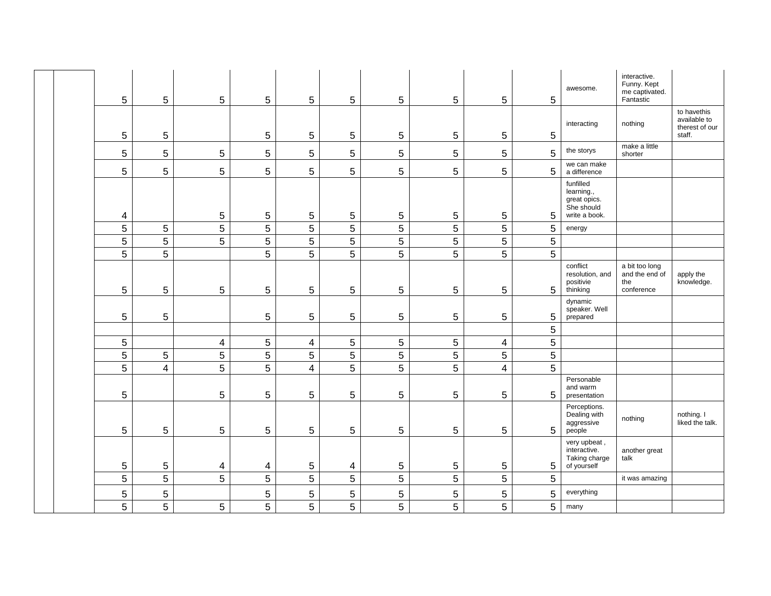|  | 5              | 5              | 5 | 5 | 5                       | 5               | 5 | 5              | 5                       | 5 | awesome.                                                               | interactive.<br>Funny. Kept<br>me captivated.<br>Fantastic |                                                         |
|--|----------------|----------------|---|---|-------------------------|-----------------|---|----------------|-------------------------|---|------------------------------------------------------------------------|------------------------------------------------------------|---------------------------------------------------------|
|  | $\mathbf 5$    | $\mathbf 5$    |   | 5 | 5                       | 5               | 5 | 5              | 5                       | 5 | interacting                                                            | nothing                                                    | to havethis<br>available to<br>therest of our<br>staff. |
|  | $\sqrt{5}$     | $\sqrt{5}$     | 5 | 5 | 5                       | 5               | 5 | 5              | 5                       | 5 | the storys                                                             | make a little<br>shorter                                   |                                                         |
|  | $\sqrt{5}$     | $\overline{5}$ | 5 | 5 | 5                       | 5               | 5 | 5              | 5                       | 5 | we can make<br>a difference                                            |                                                            |                                                         |
|  | 4              |                | 5 | 5 | 5                       | 5               | 5 | 5              | 5                       | 5 | funfilled<br>learning.,<br>great opics.<br>She should<br>write a book. |                                                            |                                                         |
|  | $\overline{5}$ | $\overline{5}$ | 5 | 5 | 5                       | $\overline{5}$  | 5 | 5              | 5                       | 5 | energy                                                                 |                                                            |                                                         |
|  | 5              | $\overline{5}$ | 5 | 5 | 5                       | 5               | 5 | 5              | $\overline{5}$          | 5 |                                                                        |                                                            |                                                         |
|  | 5              | 5              |   | 5 | 5                       | 5               | 5 | 5              | $\overline{5}$          | 5 |                                                                        |                                                            |                                                         |
|  | $\sqrt{5}$     | $\mathbf 5$    | 5 | 5 | 5                       | 5               | 5 | 5              | 5                       | 5 | conflict<br>resolution, and<br>positivie<br>thinking                   | a bit too long<br>and the end of<br>the<br>conference      | apply the<br>knowledge.                                 |
|  | 5              | 5              |   | 5 | 5                       | $5\phantom{.0}$ | 5 | 5              | 5                       | 5 | dynamic<br>speaker. Well<br>prepared                                   |                                                            |                                                         |
|  |                |                |   |   |                         |                 |   |                |                         | 5 |                                                                        |                                                            |                                                         |
|  | $\sqrt{5}$     |                | 4 | 5 | $\overline{\mathbf{4}}$ | $\overline{5}$  | 5 | 5              | $\overline{\mathbf{4}}$ | 5 |                                                                        |                                                            |                                                         |
|  | $\overline{5}$ | $\overline{5}$ | 5 | 5 | 5                       | $\overline{5}$  | 5 | 5              | 5                       | 5 |                                                                        |                                                            |                                                         |
|  | 5              | 4              | 5 | 5 | 4                       | $\overline{5}$  | 5 | 5              | $\overline{4}$          | 5 |                                                                        |                                                            |                                                         |
|  | $\overline{5}$ |                | 5 | 5 | 5                       | $\overline{5}$  | 5 | $\overline{5}$ | 5                       | 5 | Personable<br>and warm<br>presentation                                 |                                                            |                                                         |
|  | $\overline{5}$ | $\overline{5}$ | 5 | 5 | 5                       | 5               | 5 | $\sqrt{5}$     | $\sqrt{5}$              | 5 | Perceptions.<br>Dealing with<br>aggressive<br>people                   | nothing                                                    | nothing. I<br>liked the talk.                           |
|  | $\mathbf 5$    | 5              | 4 | 4 | 5                       | 4               | 5 | 5              | 5                       | 5 | very upbeat,<br>interactive.<br>Taking charge<br>of yourself           | another great<br>talk                                      |                                                         |
|  | $\sqrt{5}$     | $\overline{5}$ | 5 | 5 | 5                       | $5\,$           | 5 | 5              | $\sqrt{5}$              | 5 |                                                                        | it was amazing                                             |                                                         |
|  | $\mathbf 5$    | $\sqrt{5}$     |   | 5 | 5                       | $\sqrt{5}$      | 5 | $\mathbf 5$    | 5                       | 5 | everything                                                             |                                                            |                                                         |
|  | 5              | 5              | 5 | 5 | 5                       | 5               | 5 | 5              | 5                       | 5 | many                                                                   |                                                            |                                                         |